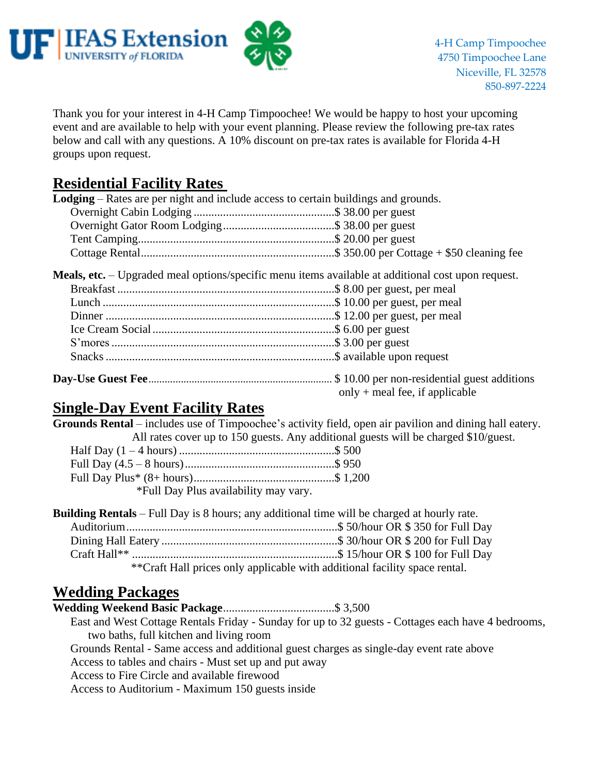

Thank you for your interest in 4-H Camp Timpoochee! We would be happy to host your upcoming event and are available to help with your event planning. Please review the following pre-tax rates below and call with any questions. A 10% discount on pre-tax rates is available for Florida 4-H groups upon request.

# **Residential Facility Rates**

| <b>Lodging</b> – Rates are per night and include access to certain buildings and grounds. |                                                                                                                                      |
|-------------------------------------------------------------------------------------------|--------------------------------------------------------------------------------------------------------------------------------------|
|                                                                                           |                                                                                                                                      |
|                                                                                           |                                                                                                                                      |
|                                                                                           |                                                                                                                                      |
|                                                                                           |                                                                                                                                      |
|                                                                                           | <b>Meals, etc.</b> – Upgraded meal options/specific menu items available at additional cost upon request.                            |
|                                                                                           |                                                                                                                                      |
|                                                                                           |                                                                                                                                      |
|                                                                                           |                                                                                                                                      |
|                                                                                           |                                                                                                                                      |
|                                                                                           |                                                                                                                                      |
|                                                                                           |                                                                                                                                      |
|                                                                                           | <b>Day-Use Guest Fee</b> encontrarious surface and the S 10.00 per non-residential guest additions<br>only + meal fee, if applicable |

## **Single-Day Event Facility Rates**

| <b>Grounds Rental</b> – includes use of Timpoochee's activity field, open air pavilion and dining hall eatery. |
|----------------------------------------------------------------------------------------------------------------|
| All rates cover up to 150 guests. Any additional guests will be charged \$10/guest.                            |
|                                                                                                                |
|                                                                                                                |
|                                                                                                                |
| *Full Day Plus availability may vary.                                                                          |

|                                                                            |  | <b>Building Rentals</b> – Full Day is 8 hours; any additional time will be charged at hourly rate. |
|----------------------------------------------------------------------------|--|----------------------------------------------------------------------------------------------------|
|                                                                            |  |                                                                                                    |
|                                                                            |  |                                                                                                    |
|                                                                            |  |                                                                                                    |
| **Craft Hall prices only applicable with additional facility space rental. |  |                                                                                                    |

## **Wedding Packages**

**Wedding Weekend Basic Package**......................................\$ 3,500 East and West Cottage Rentals Friday - Sunday for up to 32 guests - Cottages each have 4 bedrooms, two baths, full kitchen and living room Grounds Rental - Same access and additional guest charges as single-day event rate above Access to tables and chairs - Must set up and put away Access to Fire Circle and available firewood Access to Auditorium - Maximum 150 guests inside